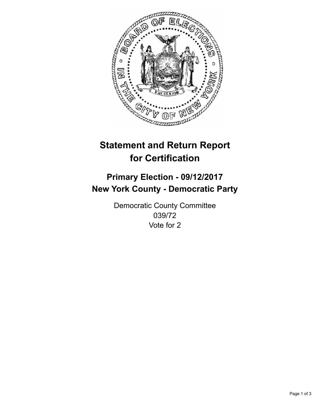

## **Statement and Return Report for Certification**

## **Primary Election - 09/12/2017 New York County - Democratic Party**

Democratic County Committee 039/72 Vote for 2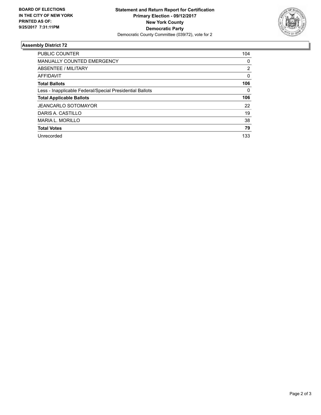

## **Assembly District 72**

| <b>PUBLIC COUNTER</b>                                    | 104 |
|----------------------------------------------------------|-----|
| <b>MANUALLY COUNTED EMERGENCY</b>                        | 0   |
| ABSENTEE / MILITARY                                      | 2   |
| AFFIDAVIT                                                | 0   |
| <b>Total Ballots</b>                                     | 106 |
| Less - Inapplicable Federal/Special Presidential Ballots | 0   |
| <b>Total Applicable Ballots</b>                          | 106 |
| <b>JEANCARLO SOTOMAYOR</b>                               | 22  |
| DARIS A. CASTILLO                                        | 19  |
| <b>MARIA L. MORILLO</b>                                  | 38  |
| <b>Total Votes</b>                                       | 79  |
| Unrecorded                                               | 133 |